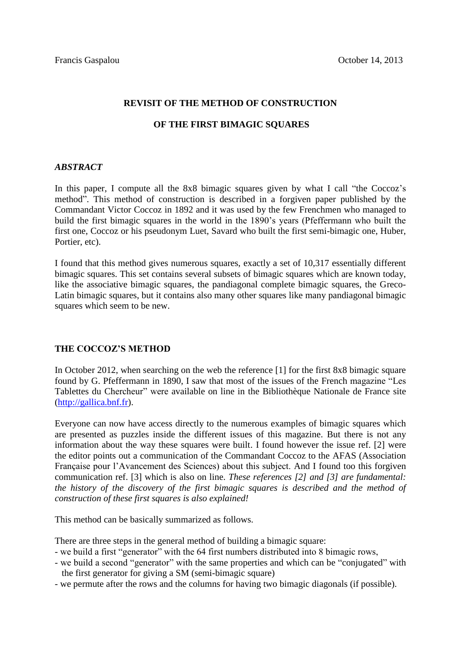#### **REVISIT OF THE METHOD OF CONSTRUCTION**

## **OF THE FIRST BIMAGIC SQUARES**

### *ABSTRACT*

In this paper, I compute all the 8x8 bimagic squares given by what I call "the Coccoz's method". This method of construction is described in a forgiven paper published by the Commandant Victor Coccoz in 1892 and it was used by the few Frenchmen who managed to build the first bimagic squares in the world in the 1890's years (Pfeffermann who built the first one, Coccoz or his pseudonym Luet, Savard who built the first semi-bimagic one, Huber, Portier, etc).

I found that this method gives numerous squares, exactly a set of 10,317 essentially different bimagic squares. This set contains several subsets of bimagic squares which are known today, like the associative bimagic squares, the pandiagonal complete bimagic squares, the Greco-Latin bimagic squares, but it contains also many other squares like many pandiagonal bimagic squares which seem to be new.

## **THE COCCOZ'S METHOD**

In October 2012, when searching on the web the reference [1] for the first 8x8 bimagic square found by G. Pfeffermann in 1890, I saw that most of the issues of the French magazine "Les Tablettes du Chercheur" were available on line in the Bibliothèque Nationale de France site [\(http://gallica.bnf.fr\)](http://gallica.bnf.fr/).

Everyone can now have access directly to the numerous examples of bimagic squares which are presented as puzzles inside the different issues of this magazine. But there is not any information about the way these squares were built. I found however the issue ref. [2] were the editor points out a communication of the Commandant Coccoz to the AFAS (Association Française pour l'Avancement des Sciences) about this subject. And I found too this forgiven communication ref. [3] which is also on line. *These references [2] and [3] are fundamental: the history of the discovery of the first bimagic squares is described and the method of construction of these first squares is also explained!*

This method can be basically summarized as follows.

There are three steps in the general method of building a bimagic square:

- we build a first "generator" with the 64 first numbers distributed into 8 bimagic rows,
- we build a second "generator" with the same properties and which can be "conjugated" with the first generator for giving a SM (semi-bimagic square)
- we permute after the rows and the columns for having two bimagic diagonals (if possible).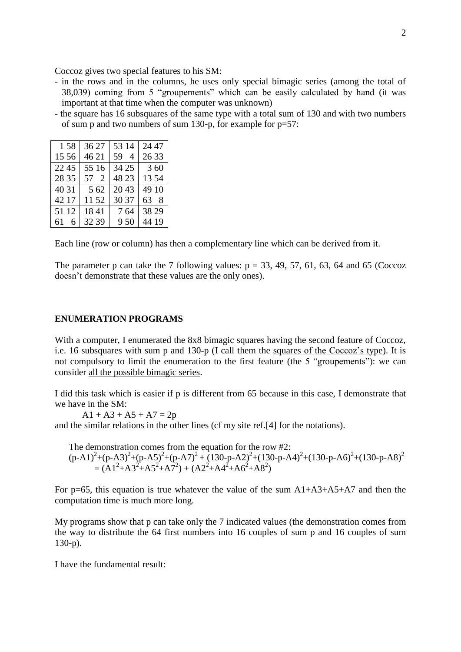Coccoz gives two special features to his SM:

- in the rows and in the columns, he uses only special bimagic series (among the total of 38,039) coming from 5 "groupements" which can be easily calculated by hand (it was important at that time when the computer was unknown)
- the square has 16 subsquares of the same type with a total sum of 130 and with two numbers of sum p and two numbers of sum 130-p, for example for  $p=57$ :

| 1.58    | 36 27 | 53 14 | 24 47 |
|---------|-------|-------|-------|
| 15 56   | 46 21 | 59 4  | 26 33 |
| 22 45   | 55 16 | 34 25 | 3 60  |
| 28 35   | 57 2  | 48 23 | 1354  |
| 40 31   | 5.62  | 2043  | 49 10 |
| 42 17   | 11 52 | 30.37 | 638   |
| 51 12   | 1841  | 764   | 38 29 |
| 61<br>6 | 32 39 | 9.50  | 44 19 |

Each line (row or column) has then a complementary line which can be derived from it.

The parameter p can take the 7 following values:  $p = 33, 49, 57, 61, 63, 64$  and 65 (Coccoz doesn't demonstrate that these values are the only ones).

#### **ENUMERATION PROGRAMS**

With a computer, I enumerated the 8x8 bimagic squares having the second feature of Coccoz, i.e. 16 subsquares with sum p and 130-p (I call them the squares of the Coccoz's type). It is not compulsory to limit the enumeration to the first feature (the 5 "groupements"): we can consider all the possible bimagic series.

I did this task which is easier if p is different from 65 because in this case, I demonstrate that we have in the SM:

 $A1 + A3 + A5 + A7 = 2p$ 

and the similar relations in the other lines (cf my site ref.[4] for the notations).

The demonstration comes from the equation for the row #2:

 $(p-A1)^{2}+(p-A3)^{2}+(p-A5)^{2}+(p-A7)^{2}+(130-p-A2)^{2}+(130-p-A4)^{2}+(130-p-A6)^{2}+(130-p-A8)^{2}$  $=(A1^2 + A3^2 + A5^2 + A7^2) + (A2^2 + A4^2 + A6^2 + A8^2)$ 

For p=65, this equation is true whatever the value of the sum  $A1+A3+A5+A7$  and then the computation time is much more long.

My programs show that p can take only the 7 indicated values (the demonstration comes from the way to distribute the 64 first numbers into 16 couples of sum p and 16 couples of sum 130-p).

I have the fundamental result: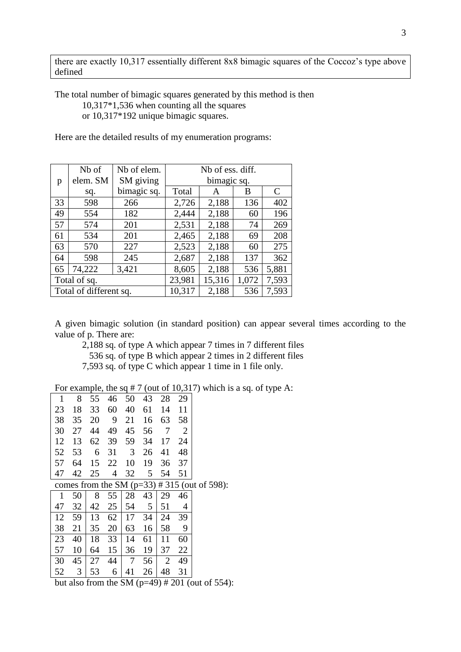there are exactly 10,317 essentially different 8x8 bimagic squares of the Coccoz's type above defined

The total number of bimagic squares generated by this method is then 10,317\*1,536 when counting all the squares or 10,317\*192 unique bimagic squares.

Here are the detailed results of my enumeration programs:

|                        | N <sub>b</sub> of | Nb of elem. | Nb of ess. diff. |       |       |       |  |  |
|------------------------|-------------------|-------------|------------------|-------|-------|-------|--|--|
| p                      | elem. SM          | SM giving   | bimagic sq.      |       |       |       |  |  |
|                        | sq.               | bimagic sq. | Total            | A     | B     | C     |  |  |
| 33                     | 598               | 266         | 2,726            | 2,188 | 136   | 402   |  |  |
| 49                     | 554               | 182         | 2,444            | 2,188 | 60    | 196   |  |  |
| 57                     | 574               | 201         | 2,531            | 2,188 | 74    | 269   |  |  |
| 61                     | 534               | 201         | 2,465            | 2,188 | 69    | 208   |  |  |
| 63                     | 570               | 227         | 2,523            | 2,188 | 60    | 275   |  |  |
| 64                     | 598               | 245         | 2,687            | 2,188 | 137   | 362   |  |  |
| 65                     | 74,222            | 3,421       | 8,605            | 2,188 | 536   | 5,881 |  |  |
| Total of sq.           |                   | 23,981      | 15,316           | 1,072 | 7,593 |       |  |  |
| Total of different sq. |                   |             | 10,317           | 2,188 | 536   | 7,593 |  |  |

A given bimagic solution (in standard position) can appear several times according to the value of p. There are:

2,188 sq. of type A which appear 7 times in 7 different files 536 sq. of type B which appear 2 times in 2 different files 7,593 sq. of type C which appear 1 time in 1 file only.

For example, the sq  $# 7$  (out of 10,317) which is a sq. of type A:

| 1  | 8  | 55 | 46 | 50 | 43 | 28             | 29             |                                                  |
|----|----|----|----|----|----|----------------|----------------|--------------------------------------------------|
| 23 | 18 | 33 | 60 | 40 | 61 | 14             | 11             |                                                  |
| 38 | 35 | 20 | 9  | 21 | 16 | 63             | 58             |                                                  |
| 30 | 27 | 44 | 49 | 45 | 56 | $\overline{7}$ | $\overline{2}$ |                                                  |
| 12 | 13 | 62 | 39 | 59 | 34 | 17             | 24             |                                                  |
| 52 | 53 | 6  | 31 | 3  | 26 | 41             | 48             |                                                  |
| 57 | 64 | 15 | 22 | 10 | 19 | 36             | 37             |                                                  |
| 47 | 42 | 25 | 4  | 32 | 5  | 54             | 51             |                                                  |
|    |    |    |    |    |    |                |                | comes from the SM ( $p=33$ ) # 315 (out of 598): |
| 1  | 50 | 8  | 55 | 28 | 43 | 29             | 46             |                                                  |
| 47 | 32 | 42 | 25 | 54 | 5  | 51             | 4              |                                                  |
| 12 | 59 | 13 | 62 | 17 | 34 | 24             | 39             |                                                  |
| 38 | 21 | 35 | 20 | 63 | 16 | 58             | 9              |                                                  |
| 23 | 40 | 18 | 33 | 14 | 61 | 11             | 60             |                                                  |
| 57 | 10 | 64 | 15 | 36 | 19 | 37             | 22             |                                                  |
| 30 | 45 | 27 | 44 | 7  | 56 | $\overline{2}$ | 49             |                                                  |
| 52 | 3  | 53 | 6  | 41 | 26 | 48             | 31             |                                                  |

but also from the SM  $(p=49)$  # 201 (out of 554):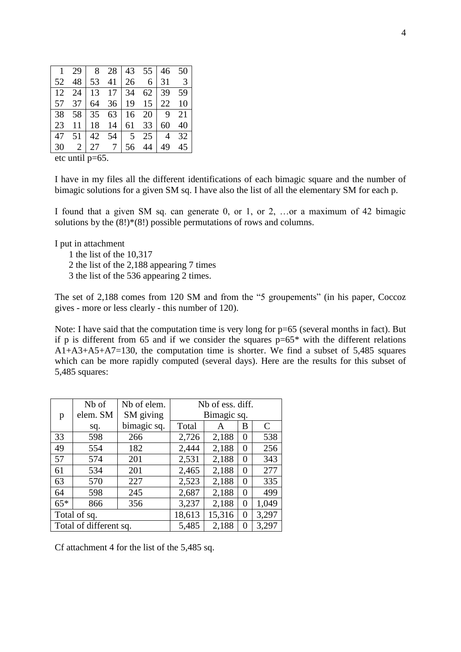|  |  |  | $\begin{array}{ c c c c c c c c } \hline 1 & 29 & 8 & 28 & 43 & 55 & 46 & 50 \\ \hline 52 & 48 & 53 & 41 & 26 & 6 & 31 & 3 \\ \hline \end{array}$ |  |
|--|--|--|---------------------------------------------------------------------------------------------------------------------------------------------------|--|
|  |  |  |                                                                                                                                                   |  |
|  |  |  | $12 \quad 24 \mid 13 \quad 17 \mid 34 \quad 62 \mid 39 \quad 59$                                                                                  |  |
|  |  |  | 57 37 64 36 19 15 22 10                                                                                                                           |  |
|  |  |  | 38 58 35 63 16 20 9 21                                                                                                                            |  |
|  |  |  | 23 11 18 14 61 33 60 40                                                                                                                           |  |
|  |  |  | 47 51 42 54 5 25 4 32                                                                                                                             |  |
|  |  |  | 30 $2 27 \t7 56 \t44 49 \t45$                                                                                                                     |  |

etc until p=65.

I have in my files all the different identifications of each bimagic square and the number of bimagic solutions for a given SM sq. I have also the list of all the elementary SM for each p.

I found that a given SM sq. can generate 0, or 1, or 2, …or a maximum of 42 bimagic solutions by the  $(8!)*(8!)$  possible permutations of rows and columns.

I put in attachment

1 the list of the 10,317

2 the list of the 2,188 appearing 7 times

3 the list of the 536 appearing 2 times.

The set of 2,188 comes from 120 SM and from the "5 groupements" (in his paper, Coccoz gives - more or less clearly - this number of 120).

Note: I have said that the computation time is very long for  $p=65$  (several months in fact). But if p is different from 65 and if we consider the squares  $p=65*$  with the different relations A1+A3+A5+A7=130, the computation time is shorter. We find a subset of 5,485 squares which can be more rapidly computed (several days). Here are the results for this subset of 5,485 squares:

|                        | N <sub>b</sub> of | Nb of elem. | Nb of ess. diff. |       |       |       |  |  |
|------------------------|-------------------|-------------|------------------|-------|-------|-------|--|--|
| p                      | elem. SM          | SM giving   | Bimagic sq.      |       |       |       |  |  |
|                        | sq.               | bimagic sq. | Total            | A     | В     | C     |  |  |
| 33                     | 598               | 266         | 2,726            | 2,188 | 0     | 538   |  |  |
| 49                     | 554               | 182         | 2,444            | 2,188 | 0     | 256   |  |  |
| 57                     | 574               | 201         | 2,531            | 2,188 | 0     | 343   |  |  |
| 61                     | 534               | 201         | 2,465            | 2,188 | 0     | 277   |  |  |
| 63                     | 570               | 227         | 2,523            | 2,188 | 0     | 335   |  |  |
| 64                     | 598               | 245         | 2,687            | 2,188 | 0     | 499   |  |  |
| $65*$                  | 866               | 356         | 3,237            | 2,188 | 0     | 1,049 |  |  |
| Total of sq.           |                   | 18,613      | 15,316           | 0     | 3,297 |       |  |  |
| Total of different sq. |                   | 5,485       | 2,188            | 0     | 3,297 |       |  |  |

Cf attachment 4 for the list of the 5,485 sq.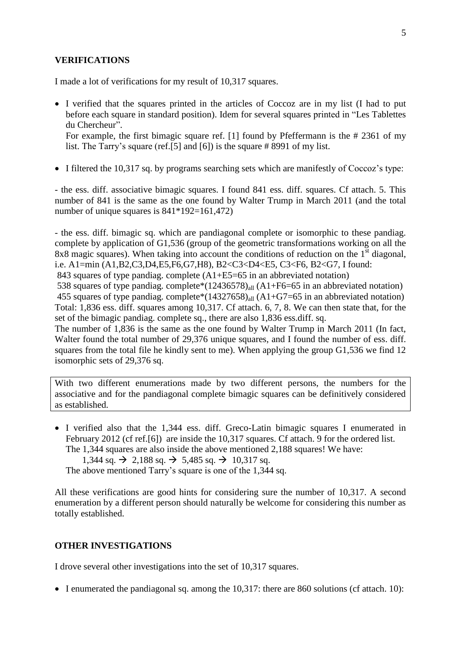### **VERIFICATIONS**

I made a lot of verifications for my result of 10,317 squares.

 I verified that the squares printed in the articles of Coccoz are in my list (I had to put before each square in standard position). Idem for several squares printed in "Les Tablettes du Chercheur".

For example, the first bimagic square ref. [1] found by Pfeffermann is the # 2361 of my list. The Tarry's square (ref.[5] and [6]) is the square # 8991 of my list.

• I filtered the 10,317 sq. by programs searching sets which are manifestly of Coccoz's type:

- the ess. diff. associative bimagic squares. I found 841 ess. diff. squares. Cf attach. 5. This number of 841 is the same as the one found by Walter Trump in March 2011 (and the total number of unique squares is 841\*192=161,472)

- the ess. diff. bimagic sq. which are pandiagonal complete or isomorphic to these pandiag. complete by application of G1,536 (group of the geometric transformations working on all the 8x8 magic squares). When taking into account the conditions of reduction on the  $1<sup>st</sup>$  diagonal, i.e. A1=min (A1,B2,C3,D4,E5,F6,G7,H8), B2<C3<D4<E5, C3<F6, B2<G7, I found:

843 squares of type pandiag. complete (A1+E5=65 in an abbreviated notation)

538 squares of type pandiag. complete\* $(12436578)_{all}$  (A1+F6=65 in an abbreviated notation) 455 squares of type pandiag. complete\* $(14327658)_{all}$  (A1+G7=65 in an abbreviated notation) Total: 1,836 ess. diff. squares among 10,317. Cf attach. 6, 7, 8. We can then state that, for the set of the bimagic pandiag. complete sq., there are also 1,836 ess.diff. sq.

The number of 1,836 is the same as the one found by Walter Trump in March 2011 (In fact, Walter found the total number of 29,376 unique squares, and I found the number of ess. diff. squares from the total file he kindly sent to me). When applying the group G1,536 we find 12 isomorphic sets of 29,376 sq.

With two different enumerations made by two different persons, the numbers for the associative and for the pandiagonal complete bimagic squares can be definitively considered as established.

 I verified also that the 1,344 ess. diff. Greco-Latin bimagic squares I enumerated in February 2012 (cf ref.[6]) are inside the 10,317 squares. Cf attach. 9 for the ordered list. The 1,344 squares are also inside the above mentioned 2,188 squares! We have:

 $1,344$  sq.  $\rightarrow$  2,188 sq.  $\rightarrow$  5,485 sq.  $\rightarrow$  10,317 sq.

The above mentioned Tarry's square is one of the 1,344 sq.

All these verifications are good hints for considering sure the number of 10,317. A second enumeration by a different person should naturally be welcome for considering this number as totally established.

#### **OTHER INVESTIGATIONS**

I drove several other investigations into the set of 10,317 squares.

 $\bullet$  I enumerated the pandiagonal sq. among the 10,317: there are 860 solutions (cf attach. 10):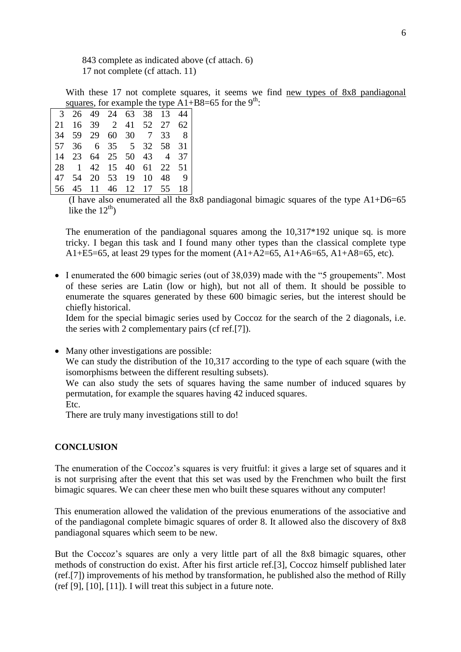843 complete as indicated above (cf attach. 6) 17 not complete (cf attach. 11)

With these 17 not complete squares, it seems we find new types of 8x8 pandiagonal squares, for example the type  $A1 + B8 = 65$  for the 9<sup>th</sup>:

| $\overline{3}$ |                 |    |       |          |                |          | 26 49 24 63 38 13 44 |
|----------------|-----------------|----|-------|----------|----------------|----------|----------------------|
| 21             | 16              | 39 |       |          | 2 41 52 27 62  |          |                      |
| 34 59          |                 | 29 |       |          | 60 30 7        | 33 8     |                      |
| l 57           | 36              |    |       | 6 35 5   |                | 32 58 31 |                      |
| $\vert$ 14     | 23              |    |       |          | 64 25 50 43 4  |          | 37                   |
| <b>28</b>      | $\vert 1 \vert$ |    |       | 42 15 40 |                | 61 22 51 |                      |
| l 47           | 54              |    | 20 53 | 19       | 10             | 48       | - 9                  |
| 56             | 45              |    |       |          | 11 46 12 17 55 |          | 18                   |

(I have also enumerated all the 8x8 pandiagonal bimagic squares of the type  $A1+D6=65$ like the  $12<sup>th</sup>$ )

The enumeration of the pandiagonal squares among the 10,317\*192 unique sq. is more tricky. I began this task and I found many other types than the classical complete type A1+E5=65, at least 29 types for the moment  $(A1+A2=65, A1+A6=65, A1+A8=65, etc)$ .

• I enumerated the 600 bimagic series (out of 38,039) made with the "5 groupements". Most of these series are Latin (low or high), but not all of them. It should be possible to enumerate the squares generated by these 600 bimagic series, but the interest should be chiefly historical.

Idem for the special bimagic series used by Coccoz for the search of the 2 diagonals, i.e. the series with 2 complementary pairs (cf ref.[7]).

• Many other investigations are possible:

We can study the distribution of the 10,317 according to the type of each square (with the isomorphisms between the different resulting subsets).

We can also study the sets of squares having the same number of induced squares by permutation, for example the squares having 42 induced squares.

Etc.

There are truly many investigations still to do!

# **CONCLUSION**

The enumeration of the Coccoz's squares is very fruitful: it gives a large set of squares and it is not surprising after the event that this set was used by the Frenchmen who built the first bimagic squares. We can cheer these men who built these squares without any computer!

This enumeration allowed the validation of the previous enumerations of the associative and of the pandiagonal complete bimagic squares of order 8. It allowed also the discovery of 8x8 pandiagonal squares which seem to be new.

But the Coccoz's squares are only a very little part of all the 8x8 bimagic squares, other methods of construction do exist. After his first article ref.[3], Coccoz himself published later (ref.[7]) improvements of his method by transformation, he published also the method of Rilly (ref [9], [10], [11]). I will treat this subject in a future note.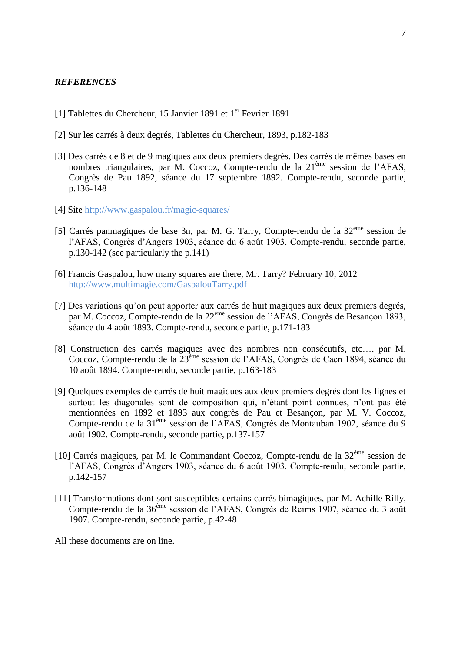### *REFERENCES*

- [1] Tablettes du Chercheur, 15 Janvier 1891 et 1<sup>er</sup> Fevrier 1891
- [2] Sur les carrés à deux degrés, Tablettes du Chercheur, 1893, p.182-183
- [3] Des carrés de 8 et de 9 magiques aux deux premiers degrés. Des carrés de mêmes bases en nombres triangulaires, par M. Coccoz, Compte-rendu de la 21<sup>ème</sup> session de l'AFAS, Congrès de Pau 1892, séance du 17 septembre 1892. Compte-rendu, seconde partie, p.136-148
- [4] Site<http://www.gaspalou.fr/magic-squares/>
- [5] Carrés panmagiques de base 3n, par M. G. Tarry, Compte-rendu de la  $32<sup>eme</sup>$  session de l'AFAS, Congrès d'Angers 1903, séance du 6 août 1903. Compte-rendu, seconde partie, p.130-142 (see particularly the p.141)
- [6] Francis Gaspalou, how many squares are there, Mr. Tarry? February 10, 2012 http:/[/www.multimagie.com/GaspalouTarry.pdf](http://www.multimagie.com/GaspalouTarry.pdf)
- [7] Des variations qu'on peut apporter aux carrés de huit magiques aux deux premiers degrés, par M. Coccoz, Compte-rendu de la 22<sup>ème</sup> session de l'AFAS, Congrès de Besançon 1893, séance du 4 août 1893. Compte-rendu, seconde partie, p.171-183
- [8] Construction des carrés magiques avec des nombres non consécutifs, etc…, par M. Coccoz, Compte-rendu de la 23<sup>ème</sup> session de l'AFAS, Congrès de Caen 1894, séance du 10 août 1894. Compte-rendu, seconde partie, p.163-183
- [9] Quelques exemples de carrés de huit magiques aux deux premiers degrés dont les lignes et surtout les diagonales sont de composition qui, n'étant point connues, n'ont pas été mentionnées en 1892 et 1893 aux congrès de Pau et Besançon, par M. V. Coccoz, Compte-rendu de la 31ème session de l'AFAS, Congrès de Montauban 1902, séance du 9 août 1902. Compte-rendu, seconde partie, p.137-157
- [10] Carrés magiques, par M. le Commandant Coccoz, Compte-rendu de la  $32<sup>eme</sup>$  session de l'AFAS, Congrès d'Angers 1903, séance du 6 août 1903. Compte-rendu, seconde partie, p.142-157
- [11] Transformations dont sont susceptibles certains carrés bimagiques, par M. Achille Rilly, Compte-rendu de la 36ème session de l'AFAS, Congrès de Reims 1907, séance du 3 août 1907. Compte-rendu, seconde partie, p.42-48

All these documents are on line.